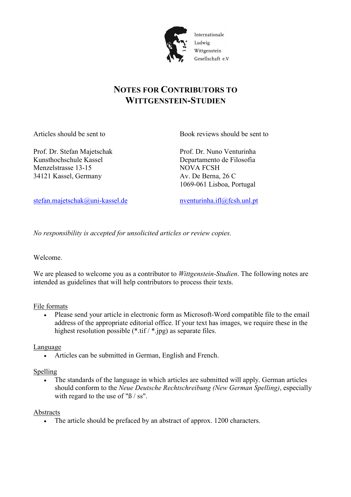

# Internationale Wittgenstein Gesellschaft e.V.

# **NOTES FOR CONTRIBUTORS TO WITTGENSTEIN-STUDIEN**

Articles should be sent to Book reviews should be sent to

Prof. Dr. Stefan Majetschak Prof. Dr. Nuno Venturinha Kunsthochschule Kassel Departamento de Filosofia Menzelstrasse 13-15 NOVA FCSH 34121 Kassel, Germany Av. De Berna, 26 C

1069-061 Lisboa, Portugal

stefan.majetschak@uni-kassel.de nventurinha.ifl@fcsh.unl.pt

*No responsibility is accepted for unsolicited articles or review copies.* 

Welcome.

We are pleased to welcome you as a contributor to *Wittgenstein-Studien*. The following notes are intended as guidelines that will help contributors to process their texts.

## File formats

 Please send your article in electronic form as Microsoft-Word compatible file to the email address of the appropriate editorial office. If your text has images, we require these in the highest resolution possible (\*.tif / \*.jpg) as separate files.

Language

Articles can be submitted in German, English and French.

## Spelling

 The standards of the language in which articles are submitted will apply. German articles should conform to the *Neue Deutsche Rechtschreibung (New German Spelling)*, especially with regard to the use of " $\beta$  / ss".

## Abstracts

• The article should be prefaced by an abstract of approx. 1200 characters.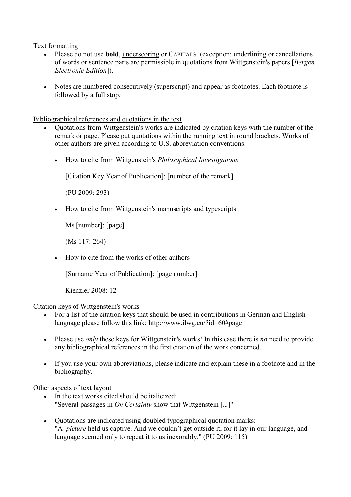#### Text formatting

- Please do not use **bold**, underscoring or CAPITALS. (exception: underlining or cancellations of words or sentence parts are permissible in quotations from Wittgenstein's papers [*Bergen Electronic Edition*]).
- Notes are numbered consecutively (superscript) and appear as footnotes. Each footnote is followed by a full stop.

Bibliographical references and quotations in the text

- Quotations from Wittgenstein's works are indicated by citation keys with the number of the remark or page. Please put quotations within the running text in round brackets. Works of other authors are given according to U.S. abbreviation conventions.
	- How to cite from Wittgenstein's *Philosophical Investigations*

[Citation Key Year of Publication]: [number of the remark]

(PU 2009: 293)

• How to cite from Wittgenstein's manuscripts and typescripts

Ms [number]: [page]

(Ms 117: 264)

• How to cite from the works of other authors

[Surname Year of Publication]: [page number]

Kienzler 2008: 12

#### Citation keys of Wittgenstein's works

- For a list of the citation keys that should be used in contributions in German and English language please follow this link: http://www.ilwg.eu/?id=60#page
- Please use *only* these keys for Wittgenstein's works! In this case there is *no* need to provide any bibliographical references in the first citation of the work concerned.
- If you use your own abbreviations, please indicate and explain these in a footnote and in the bibliography.

#### Other aspects of text layout

- In the text works cited should be italicized: "Several passages in *On Certainty* show that Wittgenstein [...]"
- Quotations are indicated using doubled typographical quotation marks: "A *picture* held us captive. And we couldn't get outside it, for it lay in our language, and language seemed only to repeat it to us inexorably." (PU 2009: 115)